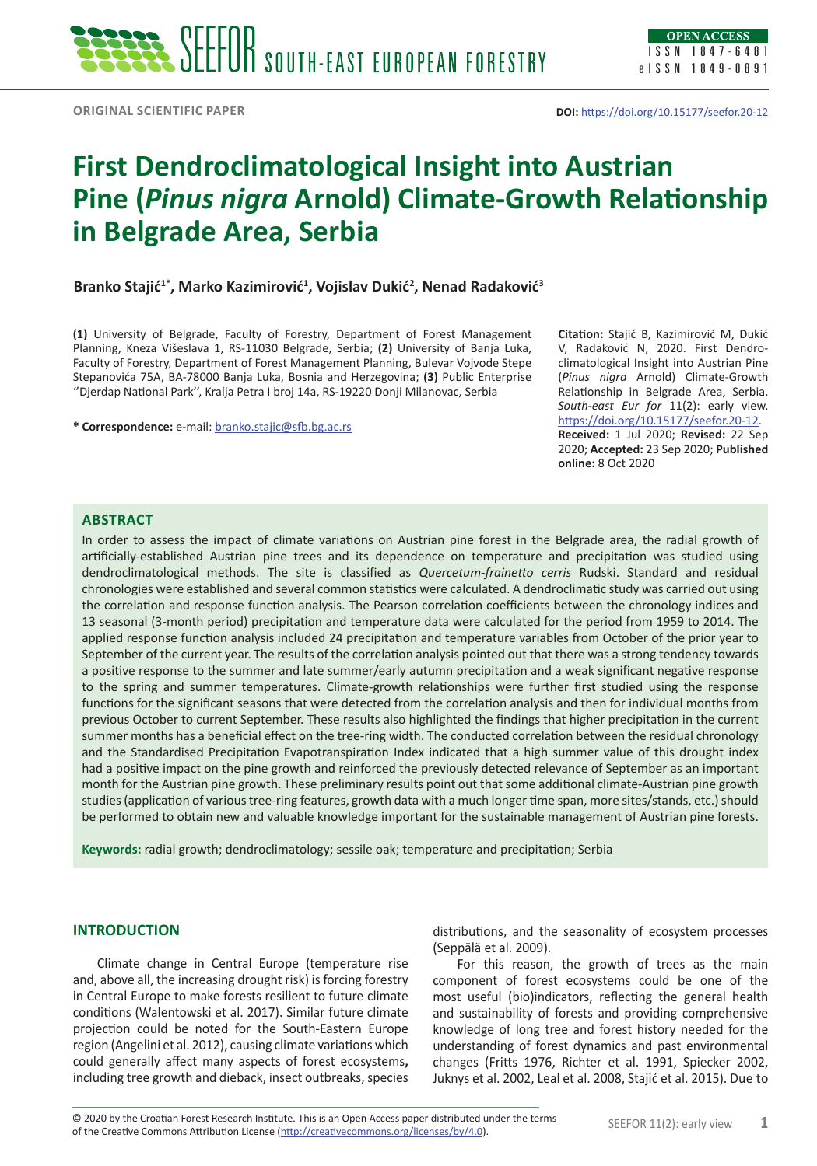# **First Dendroclimatological Insight into Austrian Pine (***Pinus nigra* **Arnold) Climate-Growth Relationship in Belgrade Area, Serbia**

**Branko Stajić1\*, Marko Kazimirović<sup>1</sup> , Vojislav Dukić<sup>2</sup> , Nenad Radaković<sup>3</sup>**

**(1)** University of Belgrade, Faculty of Forestry, Department of Forest Management Planning, Kneza Višeslava 1, RS-11030 Belgrade, Serbia; **(2)** University of Banja Luka, Faculty of Forestry, Department of Forest Management Planning, Bulevar Vojvode Stepe Stepanovića 75A, BA-78000 Banja Luka, Bosnia and Herzegovina; **(3)** Public Enterprise ''Djerdap National Park'', Kralja Petra I broj 14a, RS-19220 Donji Milanovac, Serbia

**\* Correspondence:** e-mail: [branko.stajic@s](mailto:branko.stajic@)fb.bg.ac.rs

**Citation:** Stajić B, Kazimirović M, Dukić V, Radaković N, 2020. First Dendroclimatological Insight into Austrian Pine (*Pinus nigra* Arnold) Climate-Growth Relationship in Belgrade Area, Serbia. *South-east Eur for* 11(2): early view. <https://doi.org/10.15177/seefor.20-12>. **Received:** 1 Jul 2020; **Revised:** 22 Sep 2020; **Accepted:** 23 Sep 2020; **Published online:** 8 Oct 2020

## **Abstract**

In order to assess the impact of climate variations on Austrian pine forest in the Belgrade area, the radial growth of artificially-established Austrian pine trees and its dependence on temperature and precipitation was studied using dendroclimatological methods. The site is classified as *Quercetum-frainetto cerris* Rudski. Standard and residual chronologies were established and several common statistics were calculated. A dendroclimatic study was carried out using the correlation and response function analysis. The Pearson correlation coefficients between the chronology indices and 13 seasonal (3-month period) precipitation and temperature data were calculated for the period from 1959 to 2014. The applied response function analysis included 24 precipitation and temperature variables from October of the prior year to September of the current year. The results of the correlation analysis pointed out that there was a strong tendency towards a positive response to the summer and late summer/early autumn precipitation and a weak significant negative response to the spring and summer temperatures. Climate-growth relationships were further first studied using the response functions for the significant seasons that were detected from the correlation analysis and then for individual months from previous October to current September. These results also highlighted the findings that higher precipitation in the current summer months has a beneficial effect on the tree-ring width. The conducted correlation between the residual chronology and the [Standardised Precipitation Evapotranspiration Index](https://www.google.com/url?sa=t&rct=j&q=&esrc=s&source=web&cd=&ved=2ahUKEwiuhM3_wffrAhVRDOwKHS5YDjkQFjAAegQIAhAB&url=https%3A%2F%2Fspei.csic.es%2F&usg=AOvVaw3mztbRzqKFjK4G-fqpvnc_) indicated that a high summer value of this drought index had a positive impact on the pine growth and reinforced the previously detected relevance of September as an important month for the Austrian pine growth. These preliminary results point out that some additional climate-Austrian pine growth studies (application of various tree-ring features, growth data with a much longer time span, more sites/stands, etc.) should be performed to obtain new and valuable knowledge important for the sustainable management of Austrian pine forests.

**Keywords:** radial growth; dendroclimatology; sessile oak; temperature and precipitation; Serbia

## **INTRODUCTION**

Climate change in Central Europe (temperature rise and, above all, the increasing drought risk) is forcing forestry in Central Europe to make forests resilient to future climate conditions (Walentowski et al. 2017). Similar future climate projection could be noted for the South-Eastern Europe region (Angelini et al. 2012), causing climate variations which could generally affect many aspects of forest ecosystems**,**  including tree growth and dieback, insect outbreaks, species

distributions, and the seasonality of ecosystem processes (Seppälä et al. 2009).

For this reason, the growth of trees as the main component of forest ecosystems could be one of the most useful (bio)indicators, reflecting the general health and sustainability of forests and providing comprehensive knowledge of long tree and forest history needed for the understanding of forest dynamics and past environmental changes (Fritts 1976, Richter et al. 1991, Spiecker 2002, Juknys et al. 2002, Leal et al. 2008, Stajić et al. 2015). Due to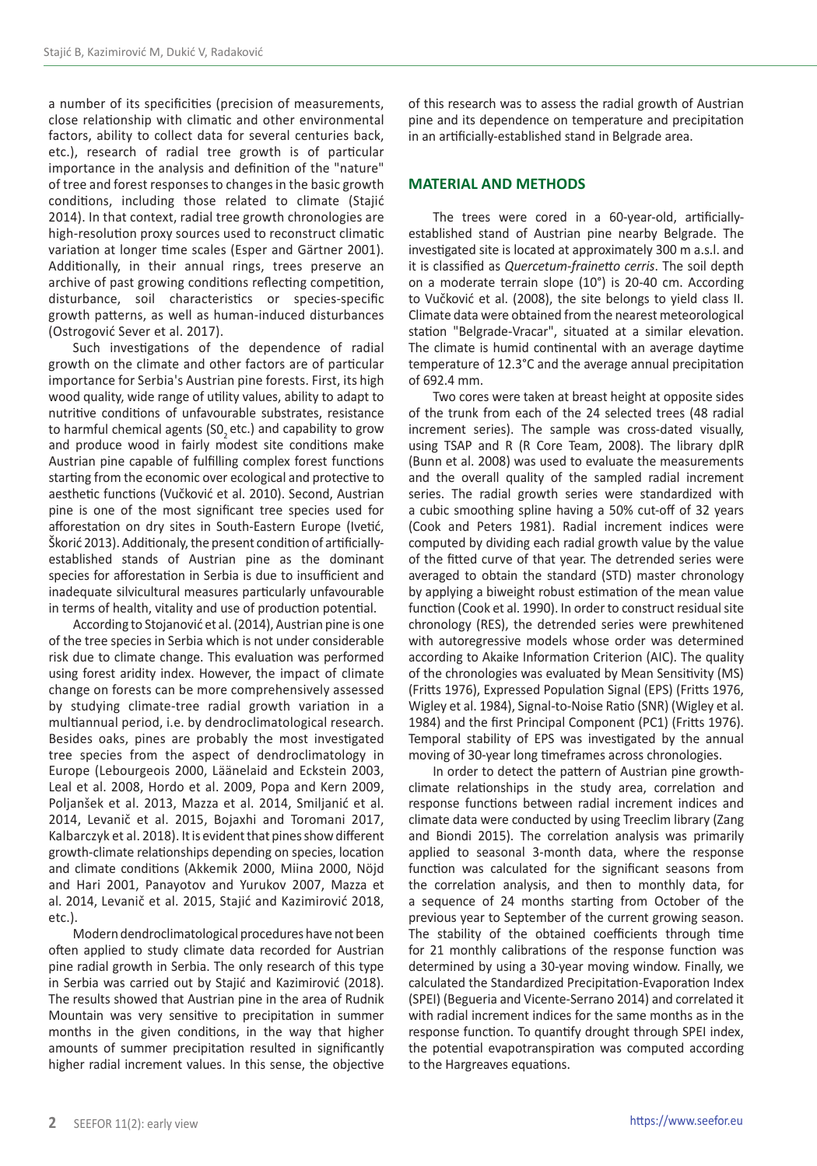a number of its specificities (precision of measurements, close relationship with climatic and other environmental factors, ability to collect data for several centuries back, etc.), research of radial tree growth is of particular importance in the analysis and definition of the "nature" of tree and forest responses to changes in the basic growth conditions, including those related to climate (Stajić 2014). In that context, radial tree growth chronologies are high-resolution proxy sources used to reconstruct climatic variation at longer time scales (Esper and Gärtner 2001). Additionally, in their annual rings, trees preserve an archive of past growing conditions reflecting competition, disturbance, soil characteristics or species-specific growth patterns, as well as human-induced disturbances (Ostrogović Sever et al. 2017).

Such investigations of the dependence of radial growth on the climate and other factors are of particular importance for Serbia's Austrian pine forests. First, its high wood quality, wide range of utility values, ability to adapt to nutritive conditions of unfavourable substrates, resistance to harmful chemical agents (SO<sub>2</sub> etc.) and capability to grow and produce wood in fairly modest site conditions make Austrian pine capable of fulfilling complex forest functions starting from the economic over ecological and protective to aesthetic functions (Vučković et al. 2010). Second, Austrian pine is one of the most significant tree species used for afforestation on dry sites in South-Eastern Europe (Ivetić, Škorić 2013). Additionaly, the present condition of artificiallyestablished stands of Austrian pine as the dominant species for afforestation in Serbia is due to insufficient and inadequate silvicultural measures particularly unfavourable in terms of health, vitality and use of production potential.

According to Stojanović et al. (2014), Austrian pine is one of the tree species in Serbia which is not under considerable risk due to climate change. This evaluation was performed using forest aridity index. However, the impact of climate change on forests can be more comprehensively assessed by studying climate-tree radial growth variation in a multiannual period, i.e. by dendroclimatological research. Besides oaks, pines are probably the most investigated tree species from the aspect of dendroclimatology in Europe (Lebourgeois 2000, Läänelaid and Eckstein 2003, Leal et al. 2008, Hordo et al. 2009, Popa and Kern 2009, Poljanšek et al. 2013, Mazza et al. 2014, Smiljanić et al. 2014, Levanič et al. 2015, Bojaxhi and Toromani 2017, Kalbarczyk et al. 2018). It is evident that pines show different growth-climate relationships depending on species, location and climate conditions (Akkemik 2000, Miina 2000, Nöjd and Hari 2001, Panayotov and Yurukov 2007, Mazza et al. 2014, Levanič et al. 2015, Stajić and Kazimirović 2018, etc.).

Modern dendroclimatological procedures have not been often applied to study climate data recorded for Austrian pine radial growth in Serbia. The only research of this type in Serbia was carried out by Stajić and Kazimirović (2018). The results showed that Austrian pine in the area of Rudnik Mountain was very sensitive to precipitation in summer months in the given conditions, in the way that higher amounts of summer precipitation resulted in significantly higher radial increment values. In this sense, the objective

of this research was to assess the radial growth of Austrian pine and its dependence on temperature and precipitation in an artificially-established stand in Belgrade area.

## **MATERIAL AND METHODS**

The trees were cored in a 60-year-old, artificiallyestablished stand of Austrian pine nearby Belgrade. The investigated site is located at approximately 300 m a.s.l. and it is classified as *Quercetum-frainetto cerris*. The soil depth on a moderate terrain slope (10°) is 20-40 cm. According to Vučković et al. (2008), the site belongs to yield class II. Climate data were obtained from the nearest meteorological station "Belgrade-Vracar", situated at a similar elevation. The climate is humid continental with an average daytime temperature of 12.3°C and the average annual precipitation of 692.4 mm.

Two cores were taken at breast height at opposite sides of the trunk from each of the 24 selected trees (48 radial increment series). The sample was cross-dated visually, using TSAP and R (R Core Team, 2008). The library dplR (Bunn et al. 2008) was used to evaluate the measurements and the overall quality of the sampled radial increment series. The radial growth series were standardized with a cubic smoothing spline having a 50% cut-off of 32 years (Cook and Peters 1981). Radial increment indices were computed by dividing each radial growth value by the value of the fitted curve of that year. The detrended series were averaged to obtain the standard (STD) master chronology by applying a biweight robust estimation of the mean value function (Cook et al. 1990). In order to construct residual site chronology (RES), the detrended series were prewhitened with autoregressive models whose order was determined according to Akaike Information Criterion (AIC). The quality of the chronologies was evaluated by Mean Sensitivity (MS) (Fritts 1976), Expressed Population Signal (EPS) (Fritts 1976, Wigley et al. 1984), Signal-to-Noise Ratio (SNR) (Wigley et al. 1984) and the first Principal Component (PC1) (Fritts 1976). Temporal stability of EPS was investigated by the annual moving of 30-year long timeframes across chronologies.

In order to detect the pattern of Austrian pine growthclimate relationships in the study area, correlation and response functions between radial increment indices and climate data were conducted by using Treeclim library (Zang and Biondi 2015). The correlation analysis was primarily applied to seasonal 3-month data, where the response function was calculated for the significant seasons from the correlation analysis, and then to monthly data, for a sequence of 24 months starting from October of the previous year to September of the current growing season. The stability of the obtained coefficients through time for 21 monthly calibrations of the response function was determined by using a 30-year moving window. Finally, we calculated the Standardized Precipitation-Evaporation Index (SPEI) (Begueria and Vicente-Serrano 2014) and correlated it with radial increment indices for the same months as in the response function. To quantify drought through SPEI index, the potential evapotranspiration was computed according to the Hargreaves equations.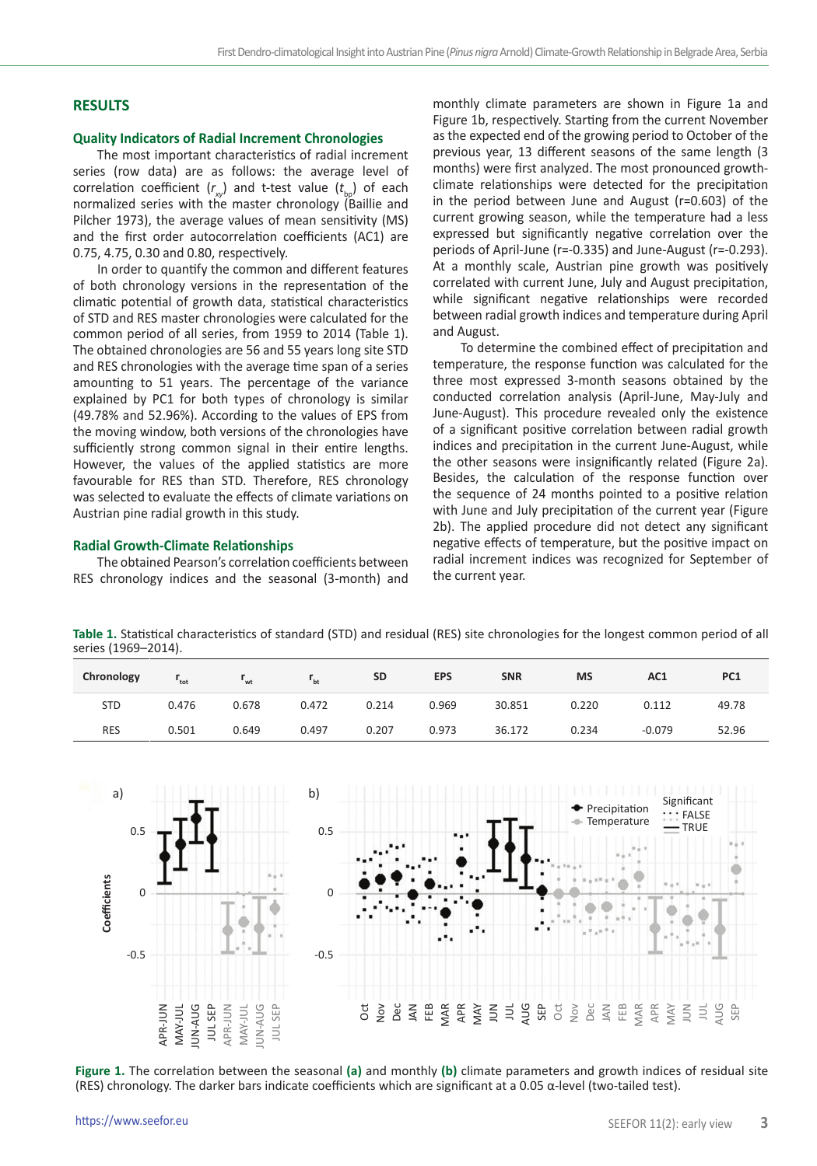## **RESULTS**

## **Quality Indicators of Radial Increment Chronologies**

The most important characteristics of radial increment series (row data) are as follows: the average level of correlation coefficient  $(r_{w})$  and t-test value  $(t_{w})$  of each normalized series with the master chronology (Baillie and Pilcher 1973), the average values of mean sensitivity (MS) and the first order autocorrelation coefficients (AC1) are 0.75, 4.75, 0.30 and 0.80, respectively.

In order to quantify the common and different features of both chronology versions in the representation of the climatic potential of growth data, statistical characteristics of STD and RES master chronologies were calculated for the common period of all series, from 1959 to 2014 (Table 1). The obtained chronologies are 56 and 55 years long site STD and RES chronologies with the average time span of a series amounting to 51 years. The percentage of the variance explained by PC1 for both types of chronology is similar (49.78% and 52.96%). According to the values of EPS from the moving window, both versions of the chronologies have sufficiently strong common signal in their entire lengths. However, the values of the applied statistics are more favourable for RES than STD. Therefore, RES chronology was selected to evaluate the effects of climate variations on Austrian pine radial growth in this study.

### **Radial Growth-Climate Relationships**

The obtained Pearson's correlation coefficients between RES chronology indices and the seasonal (3-month) and monthly climate parameters are shown in Figure 1a and Figure 1b, respectively. Starting from the current November as the expected end of the growing period to October of the previous year, 13 different seasons of the same length (3 months) were first analyzed. The most pronounced growthclimate relationships were detected for the precipitation in the period between June and August (r=0.603) of the current growing season, while the temperature had a less expressed but significantly negative correlation over the periods of April-June (r=-0.335) and June-August (r=-0.293). At a monthly scale, Austrian pine growth was positively correlated with current June, July and August precipitation, while significant negative relationships were recorded between radial growth indices and temperature during April and August.

 To determine the combined effect of precipitation and temperature, the response function was calculated for the three most expressed 3-month seasons obtained by the conducted correlation analysis (April-June, May-July and June-August). This procedure revealed only the existence of a significant positive correlation between radial growth indices and precipitation in the current June-August, while the other seasons were insignificantly related (Figure 2a). Besides, the calculation of the response function over the sequence of 24 months pointed to a positive relation with June and July precipitation of the current year (Figure 2b). The applied procedure did not detect any significant negative effects of temperature, but the positive impact on radial increment indices was recognized for September of the current year.

**Table 1.** Statistical characteristics of standard (STD) and residual (RES) site chronologies for the longest common period of all series (1969–2014).

| Chronology | $r_{\rm tot}$ | $r_{\rm wt}$ | $r_{\rm bt}$ | <b>SD</b> | <b>EPS</b> | <b>SNR</b> | <b>MS</b> | AC1      | PC <sub>1</sub> |
|------------|---------------|--------------|--------------|-----------|------------|------------|-----------|----------|-----------------|
| <b>STD</b> | 0.476         | 0.678        | 0.472        | 0.214     | 0.969      | 30.851     | 0.220     | 0.112    | 49.78           |
| <b>RES</b> | 0.501         | 0.649        | 0.497        | 0.207     | 0.973      | 36.172     | 0.234     | $-0.079$ | 52.96           |



**Figure 1.** The correlation between the seasonal **(a)** and monthly **(b)** climate parameters and growth indices of residual site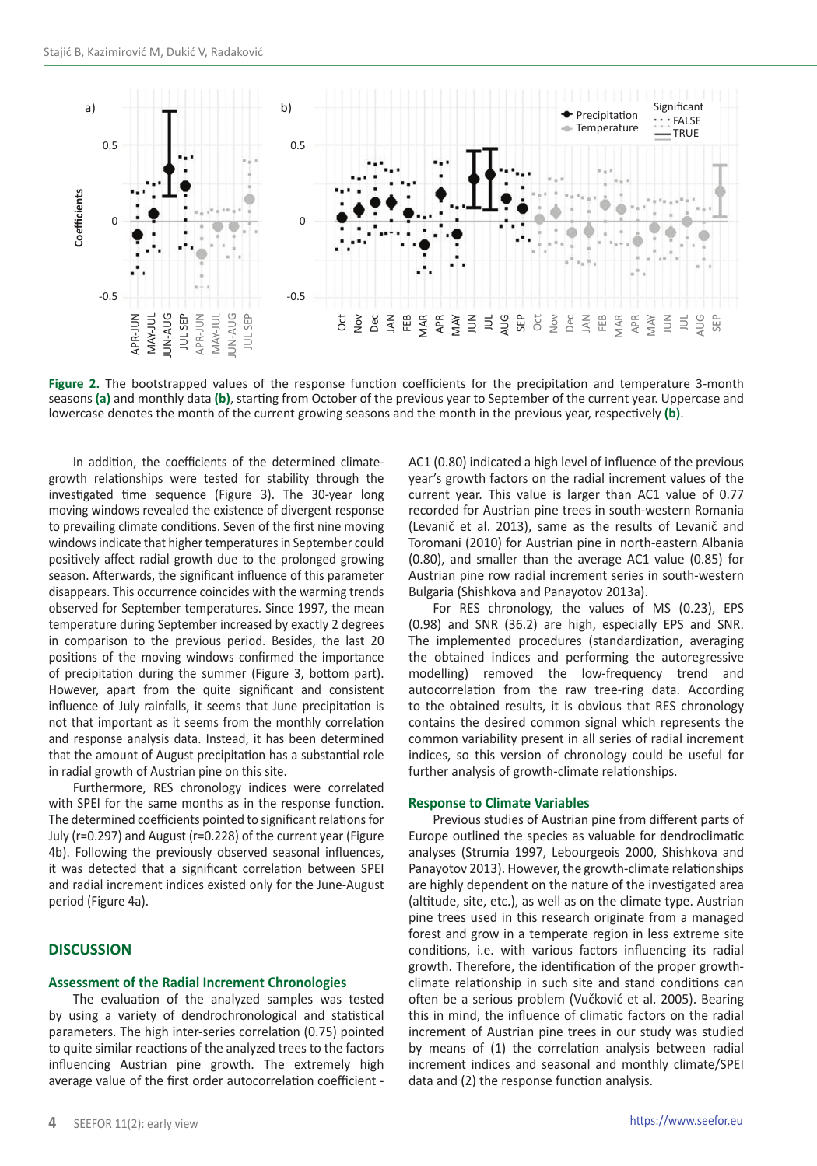

**Figure 2.** The bootstrapped values of the response function coefficients for the precipitation and temperature 3-month seasons **(a)** and monthly data **(b)**, starting from October of the previous year to September of the current year. Uppercase and

In addition, the coefficients of the determined climategrowth relationships were tested for stability through the investigated time sequence (Figure 3). The 30-year long moving windows revealed the existence of divergent response to prevailing climate conditions. Seven of the first nine moving windows indicate that higher temperatures in September could positively affect radial growth due to the prolonged growing season. Afterwards, the significant influence of this parameter disappears. This occurrence coincides with the warming trends observed for September temperatures. Since 1997, the mean temperature during September increased by exactly 2 degrees in comparison to the previous period. Besides, the last 20 positions of the moving windows confirmed the importance of precipitation during the summer (Figure 3, bottom part). However, apart from the quite significant and consistent influence of July rainfalls, it seems that June precipitation is not that important as it seems from the monthly correlation and response analysis data. Instead, it has been determined that the amount of August precipitation has a substantial role in radial growth of Austrian pine on this site.

Furthermore, RES chronology indices were correlated with SPEI for the same months as in the response function. The determined coefficients pointed to significant relations for July (r=0.297) and August (r=0.228) of the current year (Figure 4b). Following the previously observed seasonal influences, it was detected that a significant correlation between SPEI and radial increment indices existed only for the June-August period (Figure 4a).

## **DISCUSSION**

#### **Assessment of the Radial Increment Chronologies**

The evaluation of the analyzed samples was tested by using a variety of dendrochronological and statistical parameters. The high inter-series correlation (0.75) pointed to quite similar reactions of the analyzed trees to the factors influencing Austrian pine growth. The extremely high average value of the first order autocorrelation coefficient -

AC1 (0.80) indicated a high level of influence of the previous year's growth factors on the radial increment values of the current year. This value is larger than AC1 value of 0.77 recorded for Austrian pine trees in south-western Romania (Levanič et al. 2013), same as the results of Levanič and Toromani (2010) for Austrian pine in north-eastern Albania (0.80), and smaller than the average AC1 value (0.85) for Austrian pine row radial increment series in south-western Bulgaria (Shishkova and Panayotov 2013a).

For RES chronology, the values of MS (0.23), EPS (0.98) and SNR (36.2) are high, especially EPS and SNR. The implemented procedures (standardization, averaging the obtained indices and performing the autoregressive modelling) removed the low-frequency trend and autocorrelation from the raw tree-ring data. According to the obtained results, it is obvious that RES chronology contains the desired common signal which represents the common variability present in all series of radial increment indices, so this version of chronology could be useful for further analysis of growth-climate relationships.

#### **Response to Climate Variables**

Previous studies of Austrian pine from different parts of Europe outlined the species as valuable for dendroclimatic analyses (Strumia 1997, Lebourgeois 2000, Shishkova and Panayotov 2013). However, the growth-climate relationships are highly dependent on the nature of the investigated area (altitude, site, etc.), as well as on the climate type. Austrian pine trees used in this research originate from a managed forest and grow in a temperate region in less extreme site conditions, i.e. with various factors influencing its radial growth. Therefore, the identification of the proper growthclimate relationship in such site and stand conditions can often be a serious problem (Vučković et al. 2005). Bearing this in mind, the influence of climatic factors on the radial increment of Austrian pine trees in our study was studied by means of (1) the correlation analysis between radial increment indices and seasonal and monthly climate/SPEI data and (2) the response function analysis.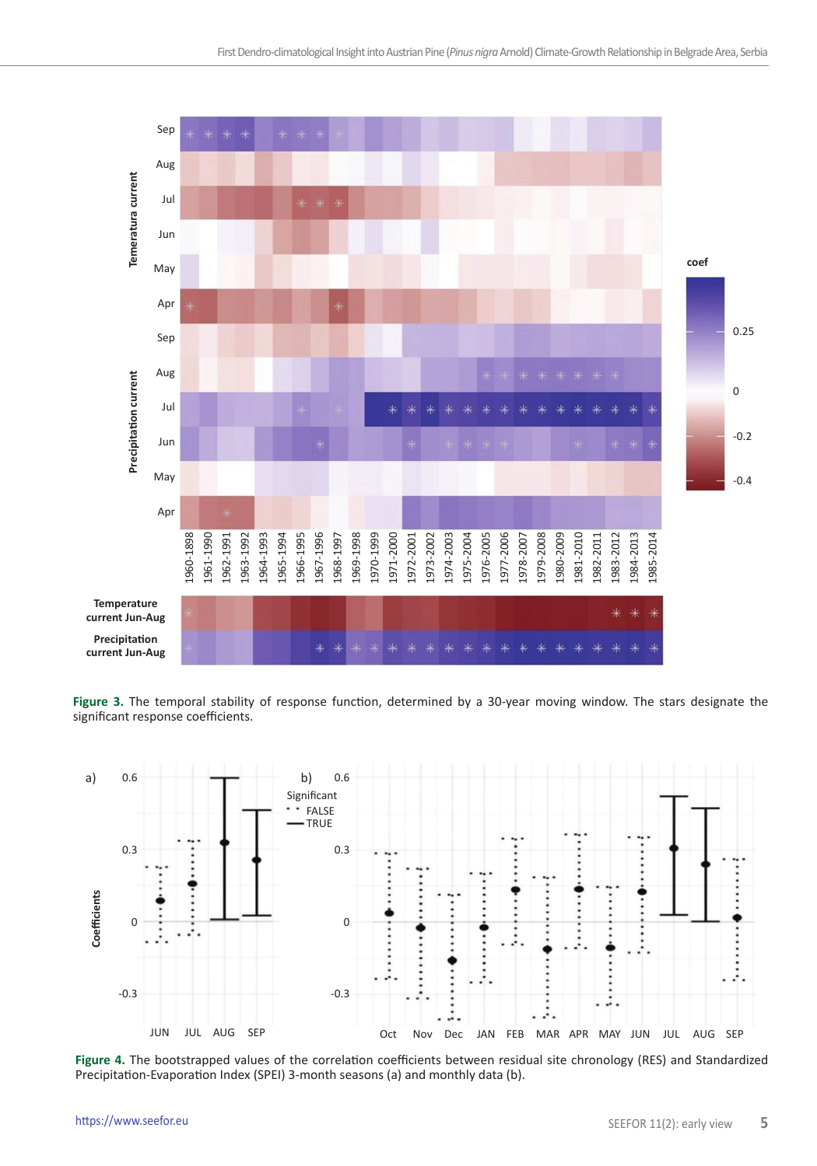

**Figure 3.** The temporal stability of response function, determined by a 30-year moving window. The stars designate the significant response coefficients.



Figure 4. The bootstrapped values of the correlation coefficients between residual site chronology (RES) and Standardized<br>Precipitation-Evaporation Index (SPEI) 3-month seasons (a) and monthly data (b).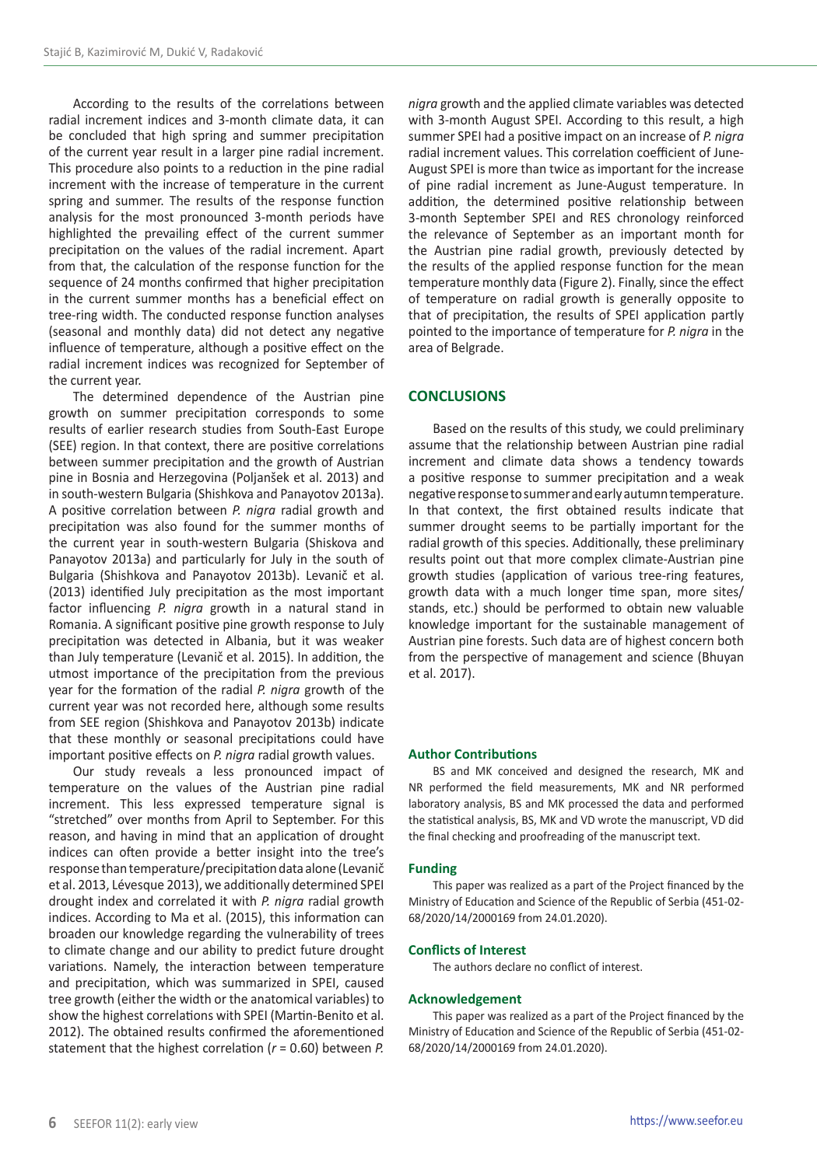According to the results of the correlations between radial increment indices and 3-month climate data, it can be concluded that high spring and summer precipitation of the current year result in a larger pine radial increment. This procedure also points to a reduction in the pine radial increment with the increase of temperature in the current spring and summer. The results of the response function analysis for the most pronounced 3-month periods have highlighted the prevailing effect of the current summer precipitation on the values of the radial increment. Apart from that, the calculation of the response function for the sequence of 24 months confirmed that higher precipitation in the current summer months has a beneficial effect on tree-ring width. The conducted response function analyses (seasonal and monthly data) did not detect any negative influence of temperature, although a positive effect on the radial increment indices was recognized for September of the current year.

The determined dependence of the Austrian pine growth on summer precipitation corresponds to some results of earlier research studies from South-East Europe (SEE) region. In that context, there are positive correlations between summer precipitation and the growth of Austrian pine in Bosnia and Herzegovina (Poljanšek et al. 2013) and in south-western Bulgaria (Shishkova and Panayotov 2013a). A positive correlation between *P. nigra* radial growth and precipitation was also found for the summer months of the current year in south-western Bulgaria (Shiskova and Panayotov 2013a) and particularly for July in the south of Bulgaria (Shishkova and Panayotov 2013b). Levanič et al. (2013) identified July precipitation as the most important factor influencing *P. nigra* growth in a natural stand in Romania. A significant positive pine growth response to July precipitation was detected in Albania, but it was weaker than July temperature (Levanič et al. 2015). In addition, the utmost importance of the precipitation from the previous year for the formation of the radial *P. nigra* growth of the current year was not recorded here, although some results from SEE region (Shishkova and Panayotov 2013b) indicate that these monthly or seasonal precipitations could have important positive effects on *P. nigra* radial growth values.

Our study reveals a less pronounced impact of temperature on the values of the Austrian pine radial increment. This less expressed temperature signal is "stretched" over months from April to September. For this reason, and having in mind that an application of drought indices can often provide a better insight into the tree's response than temperature/precipitation data alone (Levanič et al. 2013, Lévesque 2013), we additionally determined SPEI drought index and correlated it with *P. nigra* radial growth indices. According to Ma et al. (2015), this information can broaden our knowledge regarding the vulnerability of trees to climate change and our ability to predict future drought variations. Namely, the interaction between temperature and precipitation, which was summarized in SPEI, caused tree growth (either the width or the anatomical variables) to show the highest correlations with SPEI (Martin-Benito et al. 2012). The obtained results confirmed the aforementioned statement that the highest correlation (*r* = 0.60) between *P.* 

*nigra* growth and the applied climate variables was detected with 3-month August SPEI. According to this result, a high summer SPEI had a positive impact on an increase of *P. nigra*  radial increment values. This correlation coefficient of June-August SPEI is more than twice as important for the increase of pine radial increment as June-August temperature. In addition, the determined positive relationship between 3-month September SPEI and RES chronology reinforced the relevance of September as an important month for the Austrian pine radial growth, previously detected by the results of the applied response function for the mean temperature monthly data (Figure 2). Finally, since the effect of temperature on radial growth is generally opposite to that of precipitation, the results of SPEI application partly pointed to the importance of temperature for *P. nigra* in the area of Belgrade.

## **CONCLUSIONS**

Based on the results of this study, we could preliminary assume that the relationship between Austrian pine radial increment and climate data shows a tendency towards a positive response to summer precipitation and a weak negative response to summer and early autumn temperature. In that context, the first obtained results indicate that summer drought seems to be partially important for the radial growth of this species. Additionally, these preliminary results point out that more complex climate-Austrian pine growth studies (application of various tree-ring features, growth data with a much longer time span, more sites/ stands, etc.) should be performed to obtain new valuable knowledge important for the sustainable management of Austrian pine forests. Such data are of highest concern both from the perspective of management and science (Bhuyan et al. 2017).

## **Author Contributions**

BS and MK conceived and designed the research, MK and NR performed the field measurements, MK and NR performed laboratory analysis, BS and MK processed the data and performed the statistical analysis, BS, MK and VD wrote the manuscript, VD did the final checking and proofreading of the manuscript text.

#### **Funding**

This paper was realized as a part of the Project financed by the Ministry of Education and Science of the Republic of Serbia (451-02- 68/2020/14/2000169 from 24.01.2020).

#### **Conflicts of Interest**

The authors declare no conflict of interest.

#### **Acknowledgement**

This paper was realized as a part of the Project financed by the Ministry of Education and Science of the Republic of Serbia (451-02- 68/2020/14/2000169 from 24.01.2020).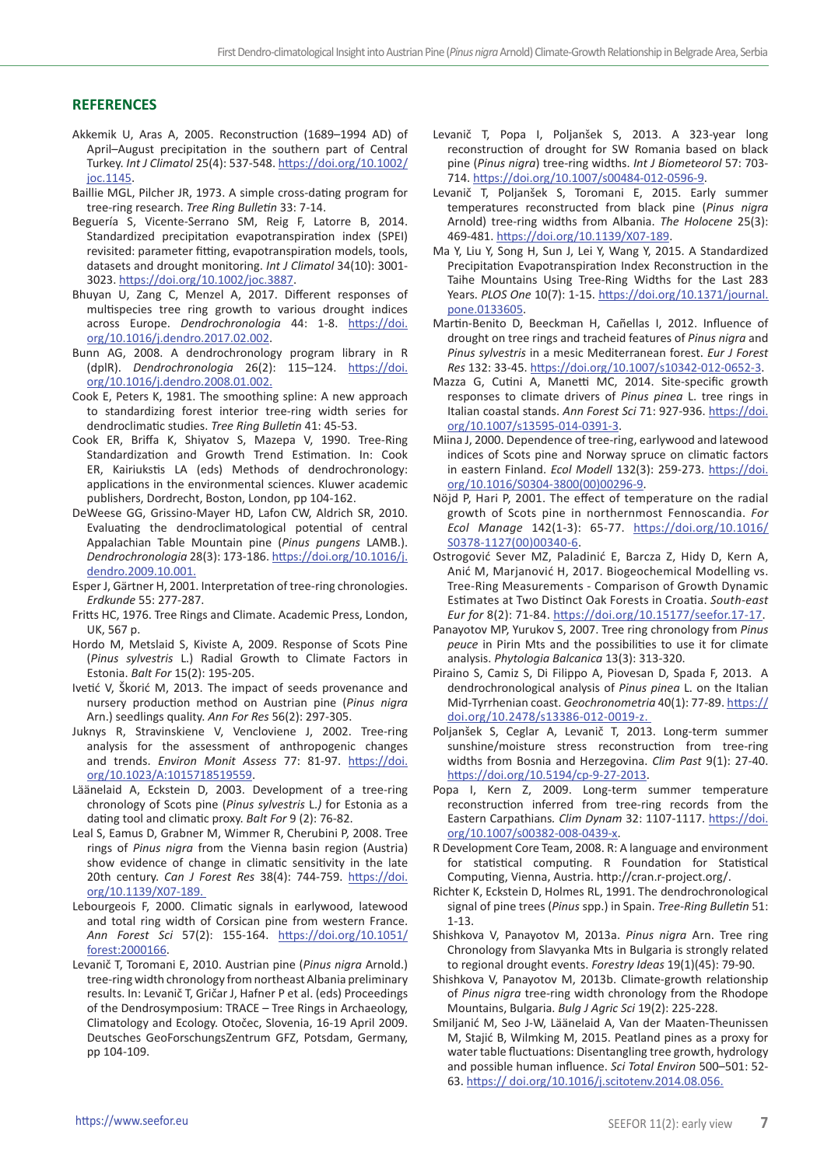## **REFERENCES**

- Akkemik U, Aras A, 2005. Reconstruction (1689–1994 AD) of April–August precipitation in the southern part of Central Turkey. *Int J Climatol* 25(4): 537-548. [https://doi.org/10.1002/](https://doi.org/10.1002/joc.1145) [joc.1145.](https://doi.org/10.1002/joc.1145)
- Baillie MGL, Pilcher JR, 1973. A simple cross-dating program for tree-ring research. *Tree Ring Bulletin* 33: 7-14.
- Beguería S, Vicente-Serrano SM, Reig F, Latorre B, 2014. Standardized precipitation evapotranspiration index (SPEI) revisited: parameter fitting, evapotranspiration models, tools, datasets and drought monitoring. *Int J Climatol* 34(10): 3001- 3023.<https://doi.org/10.1002/joc.3887>.
- Bhuyan U, Zang C, Menzel A, 2017. Different responses of multispecies tree ring growth to various drought indices across Europe. *Dendrochronologia* 44: 1-8. [https://doi.](https://doi.org/10.1016/j.dendro.2017.02.002) [org/10.1016/j.dendro.2017.02.002](https://doi.org/10.1016/j.dendro.2017.02.002).
- Bunn AG, 2008. A dendrochronology program library in R (dplR). *Dendrochronologia* 26(2): 115–124. [https://doi.](https://doi.org/10.1016/j.dendro.2008.01.002) [org/10.1016/j.dendro.2008.01.002](https://doi.org/10.1016/j.dendro.2008.01.002).
- Cook E, Peters K, 1981. The smoothing spline: A new approach to standardizing forest interior tree-ring width series for dendroclimatic studies. *Tree Ring Bulletin* 41: 45-53.
- Cook ER, Briffa K, Shiyatov S, Mazepa V, 1990. Tree-Ring Standardization and Growth Trend Estimation. In: Cook ER, Kairiukstis LA (eds) Methods of dendrochronology: applications in the environmental sciences. Kluwer academic publishers, Dordrecht, Boston, London, pp 104-162.
- DeWeese GG, Grissino-Mayer HD, Lafon CW, Aldrich SR, 2010. Evaluating the dendroclimatological potential of central Appalachian Table Mountain pine (*Pinus pungens* LAMB.). *Dendrochronologia* 28(3): 173-186. https://doi.org/10.1016/j. dendro.2009.10.001.
- Esper J, Gärtner H, 2001. Interpretation of tree-ring chronologies. *Erdkunde* 55: 277-287.
- Fritts HC, 1976. Tree Rings and Climate. Academic Press, London, UK, 567 p.
- Hordo M, Metslaid S, Kiviste A, 2009. Response of Scots Pine (*Pinus sylvestris* L.) Radial Growth to Climate Factors in Estonia. *Balt For* 15(2): 195-205.
- Ivetić V, Škorić M, 2013. The impact of seeds provenance and nursery production method on Austrian pine (*Pinus nigra* Arn.) seedlings quality. *Ann For Res* 56(2): 297-305.
- Juknys R, Stravinskiene V, Vencloviene J, 2002. Tree-ring analysis for the assessment of anthropogenic changes and trends. *Environ Monit Assess* 77: 81-97. [https://doi.](https://doi.org/10.1023/A:1015718519559) [org/10.1023/A:1015718519559.](https://doi.org/10.1023/A:1015718519559)
- Läänelaid A, Eckstein D, 2003. Development of a tree-ring chronology of Scots pine (*Pinus sylvestris* L.*)* for Estonia as a dating tool and climatic proxy. *Balt For* 9 (2): 76-82.
- Leal S, Eamus D, Grabner M, Wimmer R, Cherubini P, 2008. Tree rings of *Pinus nigra* from the Vienna basin region (Austria) show evidence of change in climatic sensitivity in the late 20th century. *Can J Forest Res* 38(4): 744-759. https://doi. org/10.1139/X07-189.
- Lebourgeois F, 2000. Climatic signals in earlywood, latewood and total ring width of Corsican pine from western France. *Ann Forest Sci* 57(2): 155-164. [https://doi.org/10.1051/](https://doi.org/10.1051/forest:2000166) [forest:2000166](https://doi.org/10.1051/forest:2000166).
- Levanič T, Toromani E, 2010. Austrian pine (*Pinus nigra* Arnold.) tree-ring width chronology from northeast Albania preliminary results. In: Levanič T, Gričar J, Hafner P et al. (eds) Proceedings of the Dendrosymposium: TRACE – Tree Rings in Archaeology, Climatology and Ecology. Otočec, Slovenia, 16-19 April 2009. Deutsches GeoForschungsZentrum GFZ, Potsdam, Germany, pp 104-109.
- Levanič T, Popa I, Poljanšek S, 2013. A 323-year long reconstruction of drought for SW Romania based on black pine (*Pinus nigra*) tree-ring widths. *Int J Biometeorol* 57: 703- 714. <https://doi.org/10.1007/s00484-012-0596-9>.
- Levanič T, Poljanšek S, Toromani E, 2015. Early summer temperatures reconstructed from black pine (*Pinus nigra* Arnold) tree-ring widths from Albania. *The Holocene* 25(3): 469-481. <https://doi.org/10.1139/X07-189>.
- Ma Y, Liu Y, Song H, Sun J, Lei Y, Wang Y, 2015. A Standardized Precipitation Evapotranspiration Index Reconstruction in the Taihe Mountains Using Tree-Ring Widths for the Last 283 Years. *PLOS One* 10(7): 1-15. [https://doi.org/10.1371/journal.](https://doi.org/10.1371/journal.pone.0133605) [pone.0133605.](https://doi.org/10.1371/journal.pone.0133605)
- Martin-Benito D, Beeckman H, Cañellas I, 2012. Influence of drought on tree rings and tracheid features of *Pinus nigra* and *Pinus sylvestris* in a mesic Mediterranean forest. *Eur J Forest Res* 132: 33-45. [https://doi.org/10.1007/s10342-012-0652-3.](https://doi.org/10.1007/s10342-012-0652-3)
- Mazza G, Cutini A, Manetti MC, 2014. Site-specific growth responses to climate drivers of *Pinus pinea* L. tree rings in Italian coastal stands. *Ann Forest Sci* 71: 927-936. [https://doi.](https://doi.org/10.1007/s13595-014-0391-3) [org/10.1007/s13595-014-0391-3.](https://doi.org/10.1007/s13595-014-0391-3)
- Miina J, 2000. Dependence of tree-ring, earlywood and latewood indices of Scots pine and Norway spruce on climatic factors in eastern Finland. *Ecol Modell* 132(3): 259-273. [https://doi.](https://doi.org/10.1016/S0304-3800(00)00296-9) [org/10.1016/S0304-3800\(00\)00296-9.](https://doi.org/10.1016/S0304-3800(00)00296-9)
- Nöjd P, Hari P, 2001. The effect of temperature on the radial growth of Scots pine in northernmost Fennoscandia. *For Ecol Manage* 142(1-3): 65-77. [https://doi.org/10.1016/](https://doi.org/10.1016/S0378-1127(00)00340-6) [S0378-1127\(00\)00340-6](https://doi.org/10.1016/S0378-1127(00)00340-6).
- Ostrogović Sever MZ, Paladinić E, Barcza Z, Hidy D, Kern A, Anić M, Marjanović H, 2017. Biogeochemical Modelling vs. Tree-Ring Measurements - Comparison of Growth Dynamic Estimates at Two Distinct Oak Forests in Croatia. *South-east Eur for* 8(2): 71-84. <https://doi.org/10.15177/seefor.17-17>.
- Panayotov MP, Yurukov S, 2007. Tree ring chronology from *Pinus peuce* in Pirin Mts and the possibilities to use it for climate analysis. *Phytologia Balcanica* 13(3): 313-320.
- Piraino S, Camiz S, Di Filippo A, Piovesan D, Spada F, 2013. A dendrochronological analysis of *Pinus pinea* L. on the Italian Mid-Tyrrhenian coast. *Geochronometria* 40(1): 77-89. [https://](https://doi.org/10.2478/s13386-012-0019-z) [doi.org/10.2478/s13386-012-0019-z.](https://doi.org/10.2478/s13386-012-0019-z)
- Poljanšek S, Ceglar A, Levanič T, 2013. Long-term summer sunshine/moisture stress reconstruction from tree-ring widths from Bosnia and Herzegovina. *Clim Past* 9(1): 27-40. [https://doi.org/10.5194/cp-9-27-2013.](https://doi.org/10.5194/cp-9-27-2013)
- Popa I, Kern Z, 2009. Long-term summer temperature reconstruction inferred from tree-ring records from the Eastern Carpathians*. Clim Dynam* 32: 1107-1117. [https://doi.](https://doi.org/10.1007/s00382-008-0439-x) [org/10.1007/s00382-008-0439-x.](https://doi.org/10.1007/s00382-008-0439-x)
- R Development Core Team, 2008. R: A language and environment for statistical computing. R Foundation for Statistical Computing, Vienna, Austria. <http://cran.r-project.org/>.
- Richter K, Eckstein D, Holmes RL, 1991. The dendrochronological signal of pine trees (*Pinus* spp.) in Spain. *Tree-Ring Bulletin* 51: 1-13.
- Shishkova V, Panayotov M, 2013a. *Pinus nigra* Arn. Tree ring Chronology from Slavyanka Mts in Bulgaria is strongly related to regional drought events. *Forestry Ideas* 19(1)(45): 79-90.
- Shishkova V, Panayotov M, 2013b. Climate-growth relationship of *Pinus nigra* tree-ring width chronology from the Rhodope Mountains, Bulgaria. *Bulg J Agric Sci* 19(2): 225-228.
- Smiljanić M, Seo J-W, Läänelaid A, Van der Maaten-Theunissen M, Stajić B, Wilmking M, 2015. Peatland pines as a proxy for water table fluctuations: Disentangling tree growth, hydrology and possible human influence. *Sci Total Environ* 500–501: 52- 63. https:// doi.org/10.1016/j.scitotenv.2014.08.056.